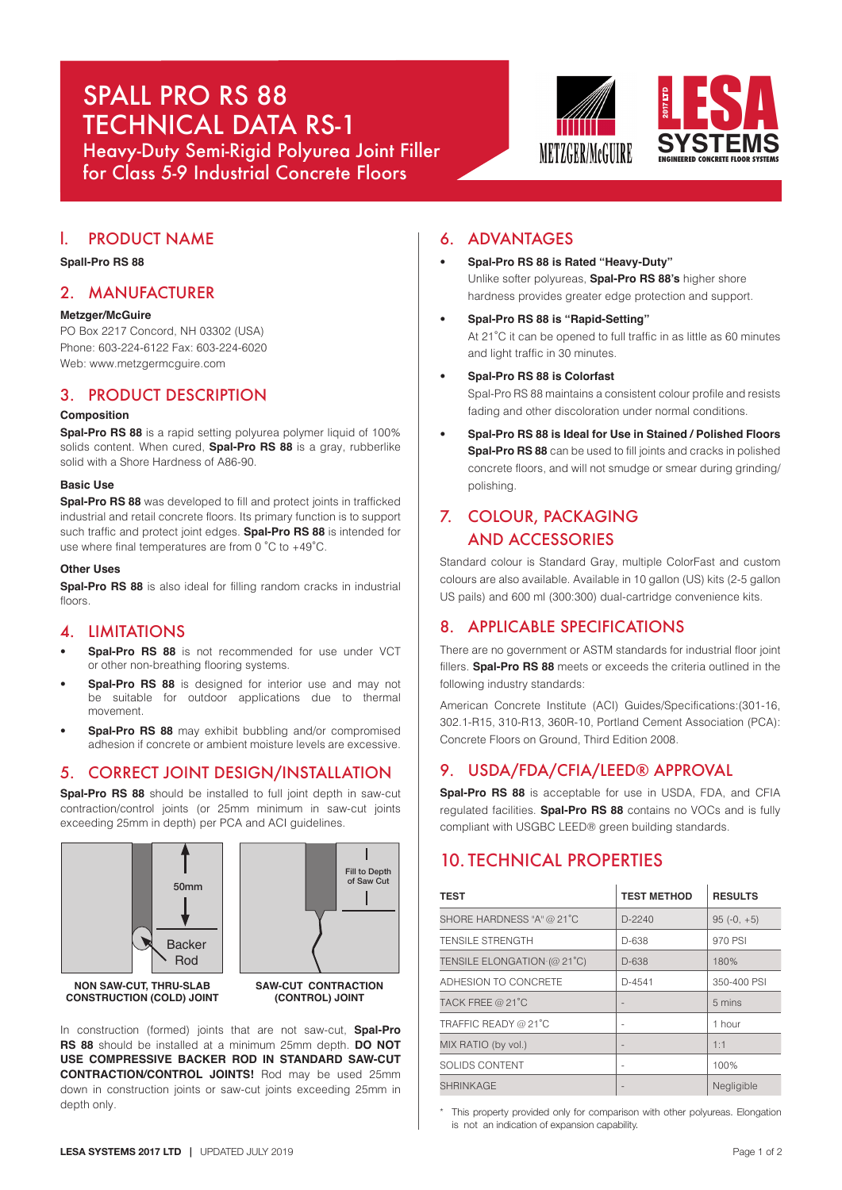# SPALL PRO RS 88 TECHNICAL DATA RS-1

Heavy-Duty Semi-Rigid Polyurea Joint Filler for Class 5-9 Industrial Concrete Floors





# l. PRODUCT NAME

# **Spall-Pro RS 88**

# 2. MANUFACTURER

## **Metzger/McGuire**

PO Box 2217 Concord, NH 03302 (USA) Phone: 603-224-6122 Fax: 603-224-6020 Web: www.metzgermcguire.com

# 3. PRODUCT DESCRIPTION

# **Composition**

**Spal-Pro RS 88** is a rapid setting polyurea polymer liquid of 100% solids content. When cured, **Spal-Pro RS 88** is a gray, rubberlike solid with a Shore Hardness of A86-90.

### **Basic Use**

**Spal-Pro RS 88** was developed to fill and protect joints in trafficked industrial and retail concrete floors. Its primary function is to support such traffic and protect joint edges. **Spal-Pro RS 88** is intended for use where final temperatures are from 0 ˚C to +49˚C.

### **Other Uses**

**Spal-Pro RS 88** is also ideal for filling random cracks in industrial floors

# 4. LIMITATIONS

- **Spal-Pro RS 88** is not recommended for use under VCT or other non-breathing flooring systems.
- **Spal-Pro RS 88** is designed for interior use and may not be suitable for outdoor applications due to thermal movement.
- **Spal-Pro RS 88** may exhibit bubbling and/or compromised adhesion if concrete or ambient moisture levels are excessive.

# 5. CORRECT JOINT DESIGN/INSTALLATION

**Spal-Pro RS 88** should be installed to full joint depth in saw-cut contraction/control joints (or 25mm minimum in saw-cut joints exceeding 25mm in depth) per PCA and ACI guidelines.



In construction (formed) joints that are not saw-cut, **Spal-Pro RS 88** should be installed at a minimum 25mm depth. **DO NOT USE COMPRESSIVE BACKER ROD IN STANDARD SAW-CUT CONTRACTION/CONTROL JOINTS!** Rod may be used 25mm down in construction joints or saw-cut joints exceeding 25mm in depth only.

# 6. ADVANTAGES

- **Spal-Pro RS 88 is Rated "Heavy-Duty"** Unlike softer polyureas, **Spal-Pro RS 88's** higher shore hardness provides greater edge protection and support.
- **Spal-Pro RS 88 is "Rapid-Setting"** At 21˚C it can be opened to full traffic in as little as 60 minutes and light traffic in 30 minutes.
- **Spal-Pro RS 88 is Colorfast**

Spal-Pro RS 88 maintains a consistent colour profile and resists fading and other discoloration under normal conditions.

• **Spal-Pro RS 88 is Ideal for Use in Stained / Polished Floors Spal-Pro RS 88** can be used to fill joints and cracks in polished concrete floors, and will not smudge or smear during grinding/ polishing.

# 7. COLOUR, PACKAGING AND ACCESSORIES

Standard colour is Standard Gray, multiple ColorFast and custom colours are also available. Available in 10 gallon (US) kits (2-5 gallon US pails) and 600 ml (300:300) dual-cartridge convenience kits.

# 8. APPLICABLE SPECIFICATIONS

There are no government or ASTM standards for industrial floor joint fillers. **Spal-Pro RS 88** meets or exceeds the criteria outlined in the following industry standards:

American Concrete Institute (ACI) Guides/Specifications:(301-16, 302.1-R15, 310-R13, 360R-10, Portland Cement Association (PCA): Concrete Floors on Ground, Third Edition 2008.

# 9. USDA/FDA/CFIA/LEED® APPROVAL

**Spal-Pro RS 88** is acceptable for use in USDA, FDA, and CFIA regulated facilities. **Spal-Pro RS 88** contains no VOCs and is fully compliant with USGBC LEED® green building standards.

# 10. TECHNICAL PROPERTIES

| <b>TEST</b>                 | <b>TEST METHOD</b>       | <b>RESULTS</b> |
|-----------------------------|--------------------------|----------------|
| SHORE HARDNESS "A" @ 21°C   | $D-2240$                 | $95(-0, +5)$   |
| <b>TENSILE STRENGTH</b>     | D-638                    | 970 PSI        |
| TENSILE ELONGATION (@ 21°C) | $D-638$                  | 180%           |
| ADHESION TO CONCRETE        | $D-4541$                 | 350-400 PSI    |
| TACK FREE @ 21°C            |                          | 5 mins         |
| TRAFFIC READY @ 21°C        | $\overline{\phantom{a}}$ | 1 hour         |
| MIX RATIO (by vol.)         |                          | 1:1            |
| SOLIDS CONTENT              |                          | 100%           |
| <b>SHRINKAGE</b>            |                          | Negligible     |

This property provided only for comparison with other polyureas. Elongation is not an indication of expansion capability.